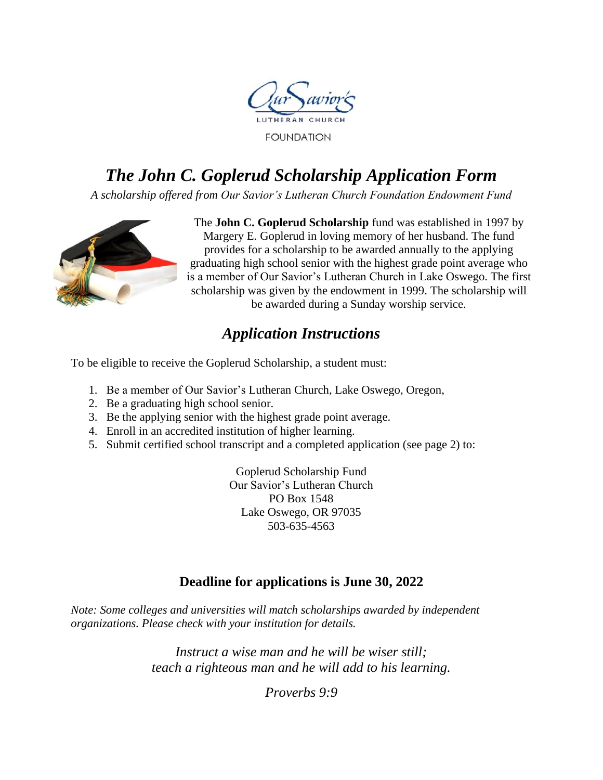

# *The John C. Goplerud Scholarship Application Form*

*A scholarship offered from Our Savior's Lutheran Church Foundation Endowment Fund*



The **John C. Goplerud Scholarship** fund was established in 1997 by Margery E. Goplerud in loving memory of her husband. The fund provides for a scholarship to be awarded annually to the applying graduating high school senior with the highest grade point average who is a member of Our Savior's Lutheran Church in Lake Oswego. The first scholarship was given by the endowment in 1999. The scholarship will be awarded during a Sunday worship service.

# *Application Instructions*

To be eligible to receive the Goplerud Scholarship, a student must:

- 1. Be a member of Our Savior's Lutheran Church, Lake Oswego, Oregon,
- 2. Be a graduating high school senior.
- 3. Be the applying senior with the highest grade point average.
- 4. Enroll in an accredited institution of higher learning.
- 5. Submit certified school transcript and a completed application (see page 2) to:

Goplerud Scholarship Fund Our Savior's Lutheran Church PO Box 1548 Lake Oswego, OR 97035 503-635-4563

# **Deadline for applications is June 30, 2022**

*Note: Some colleges and universities will match scholarships awarded by independent organizations. Please check with your institution for details.*

> *Instruct a wise man and he will be wiser still; teach a righteous man and he will add to his learning.*

> > *Proverbs 9:9*